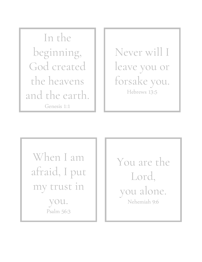In the beginning, God created the heavens and the earth. Genesis 1:1

Never will I leave you or forsake you. Hebrews 13:5

When I am afraid, I put my trust in

> you. Psalm 56:3

You are the Lord, you alone. Nehemiah 9:6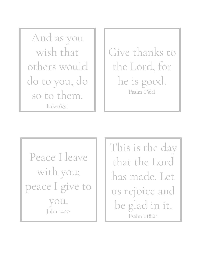And as you wish that others would do to you, do so to them. Luke 6:31

Give thanks to the Lord, for he is good. Psalm 136:1

Peace I leave with you; peace I give to you. John 14:27

This is the day that the Lord has made. Let us rejoice and be glad in it. Psalm 118:24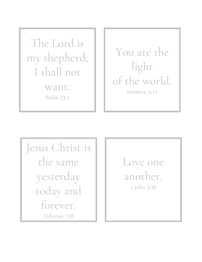The Lord is my shepherd; I shall not want. Psalm 23:1

You are the light of the world. Matthew 5:14

Jesus Christ is the same yesterday today and forever. Hebrews 13:8

Love one another. 1 John 3:23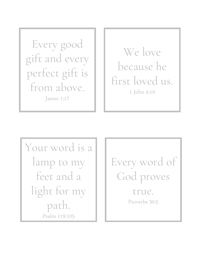Every good gift and every perfect gift is from above. James 1:17

We love because he first loved us. 1 John 4:19

Your word is a lamp to my feet and a light for my path. Psalm 119:105

Every word of God proves true. Proverbs 30:5